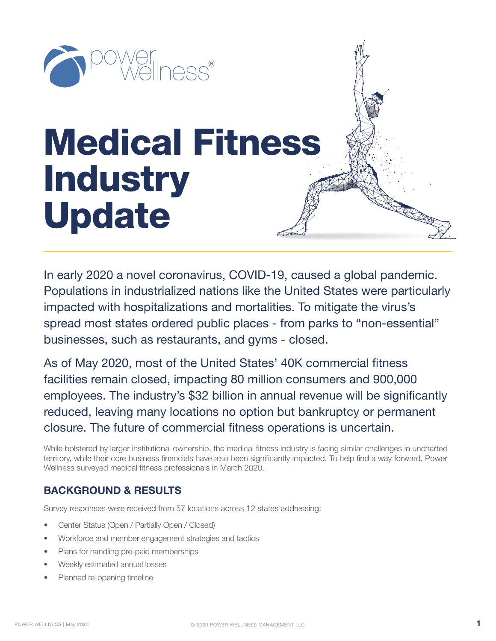

# Medical Fitness **Industry** Update

In early 2020 a novel coronavirus, COVID-19, caused a global pandemic. Populations in industrialized nations like the United States were particularly impacted with hospitalizations and mortalities. To mitigate the virus's spread most states ordered public places - from parks to "non-essential" businesses, such as restaurants, and gyms - closed.

As of May 2020, most of the United States' 40K commercial fitness facilities remain closed, impacting 80 million consumers and 900,000 employees. The industry's \$32 billion in annual revenue will be significantly reduced, leaving many locations no option but bankruptcy or permanent closure. The future of commercial fitness operations is uncertain.

While bolstered by larger institutional ownership, the medical fitness industry is facing similar challenges in uncharted territory, while their core business financials have also been significantly impacted. To help find a way forward, Power Wellness surveyed medical fitness professionals in March 2020.

# **BACKGROUND & RESULTS**

Survey responses were received from 57 locations across 12 states addressing:

- Center Status (Open / Partially Open / Closed)
- Workforce and member engagement strategies and tactics
- Plans for handling pre-paid memberships
- Weekly estimated annual losses
- Planned re-opening timeline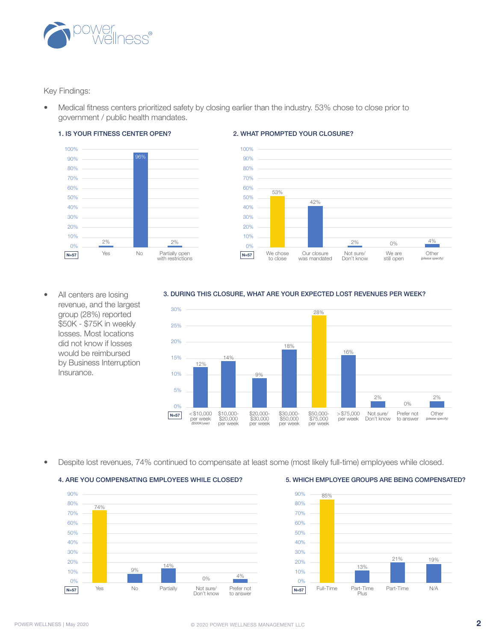

Key Findings:

• Medical fitness centers prioritized safety by closing earlier than the industry. 53% chose to close prior to government / public health mandates.



#### 2. WHAT PROMPTED YOUR CLOSURE?



All centers are losing revenue, and the largest group (28%) reported \$50K - \$75K in weekly losses. Most locations did not know if losses would be reimbursed by Business Interruption Insurance.

#### 3. DURING THIS CLOSURE, WHAT ARE YOUR EXPECTED LOST REVENUES PER WEEK?



• Despite lost revenues, 74% continued to compensate at least some (most likely full-time) employees while closed.

#### 4. ARE YOU COMPENSATING EMPLOYEES WHILE CLOSED? 5. WHICH EMPLOYEE GROUPS ARE BEING COMPENSATED?



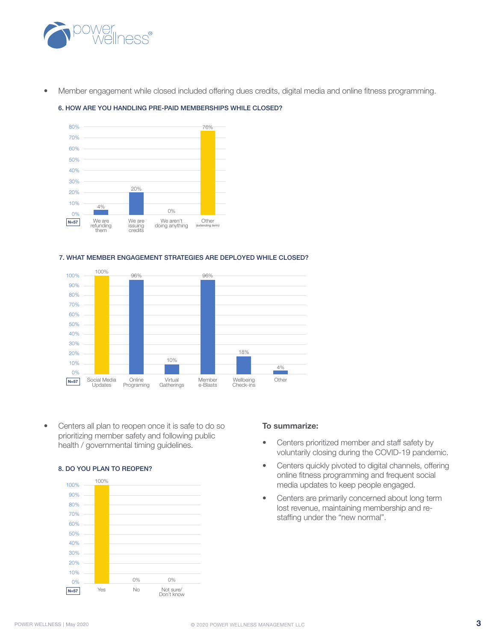

• Member engagement while closed included offering dues credits, digital media and online fitness programming.



#### 6. HOW ARE YOU HANDLING PRE-PAID MEMBERSHIPS WHILE CLOSED?

#### 7. WHAT MEMBER ENGAGEMENT STRATEGIES ARE DEPLOYED WHILE CLOSED?



• Centers all plan to reopen once it is safe to do so prioritizing member safety and following public health / governmental timing guidelines.

#### 8. DO YOU PLAN TO REOPEN?



#### **To summarize:**

- Centers prioritized member and staff safety by voluntarily closing during the COVID-19 pandemic.
- Centers quickly pivoted to digital channels, offering online fitness programming and frequent social media updates to keep people engaged.
- Centers are primarily concerned about long term lost revenue, maintaining membership and restaffing under the "new normal".